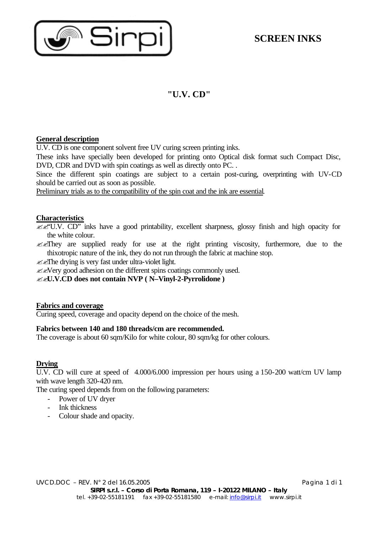

# **"U.V. CD"**

### **General description**

U.V. CD is one component solvent free UV curing screen printing inks.

These inks have specially been developed for printing onto Optical disk format such Compact Disc, DVD, CDR and DVD with spin coatings as well as directly onto PC. .

Since the different spin coatings are subject to a certain post-curing, overprinting with UV-CD should be carried out as soon as possible.

Preliminary trials as to the compatibility of the spin coat and the ink are essential.

### **Characteristics**

 $\mathscr{B}(\mathscr{C}U,V)$ . CD" inks have a good printability, excellent sharpness, glossy finish and high opacity for the white colour.

 $\mathcal{L}$  They are supplied ready for use at the right printing viscosity, furthermore, due to the thixotropic nature of the ink, they do not run through the fabric at machine stop.

 $\mathscr{B}$  The drying is very fast under ultra-violet light.

 $\ll$  Nery good adhesion on the different spins coatings commonly used.

??**U.V.CD does not contain NVP ( N–Vinyl-2-Pyrrolidone )**

### **Fabrics and coverage**

Curing speed, coverage and opacity depend on the choice of the mesh.

### **Fabrics between 140 and 180 threads/cm are recommended.**

The coverage is about 60 sqm/Kilo for white colour, 80 sqm/kg for other colours.

### **Drying**

U.V. CD will cure at speed of 4.000/6.000 impression per hours using a 150-200 watt/cm UV lamp with wave length 320-420 nm.

The curing speed depends from on the following parameters:

- Power of UV dryer
- Ink thickness
- Colour shade and opacity.